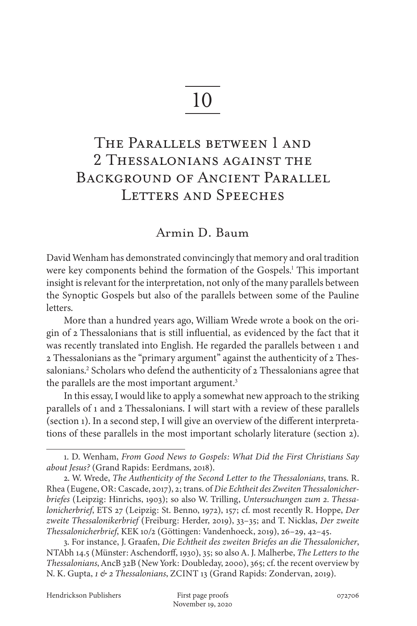# 10

# The Parallels between 1 and 2 Thessalonians against the Background of Ancient Parallel LETTERS AND SPEECHES

## Armin D. Baum

David Wenham has demonstrated convincingly that memory and oral tradition were key components behind the formation of the Gospels.<sup>1</sup> This important insight is relevant for the interpretation, not only of the many parallels between the Synoptic Gospels but also of the parallels between some of the Pauline letters.

More than a hundred years ago, William Wrede wrote a book on the origin of 2 Thessalonians that is still influential, as evidenced by the fact that it was recently translated into English. He regarded the parallels between 1 and 2 Thessalonians as the "primary argument" against the authenticity of 2 Thessalonians.<sup>2</sup> Scholars who defend the authenticity of 2 Thessalonians agree that the parallels are the most important argument.<sup>3</sup>

In this essay, I would like to apply a somewhat new approach to the striking parallels of 1 and 2 Thessalonians. I will start with a review of these parallels (section 1). In a second step, I will give an overview of the different interpretations of these parallels in the most important scholarly literature (section 2).

<sup>1.</sup> D. Wenham, *From Good News to Gospels: What Did the First Christians Say about Jesus?* (Grand Rapids: Eerdmans, 2018).

<sup>2.</sup> W. Wrede, *The Authenticity of the Second Letter to the Thessalonians*, trans. R. Rhea (Eugene, OR: Cascade, 2017), 2; trans. of *Die Echtheit des Zweiten Thessalonicherbriefes* (Leipzig: Hinrichs, 1903); so also W. Trilling, *Untersuchungen zum 2. Thessalonicherbrief*, ETS 27 (Leipzig: St. Benno, 1972), 157; cf. most recently R. Hoppe, *Der zweite Thessalonikerbrief* (Freiburg: Herder, 2019), 33–35; and T. Nicklas, *Der zweite Thessalonicherbrief*, KEK 10/2 (Göttingen: Vandenhoeck, 2019), 26–29, 42–45.

<sup>3.</sup> For instance, J. Graafen, *Die Echtheit des zweiten Briefes an die Thessalonicher*, NTAbh 14.5 (Münster: Aschendorff, 1930), 35; so also A. J. Malherbe, *The Letters to the Thessalonians*, AncB 32B (New York: Doubleday, 2000), 365; cf. the recent overview by N. K. Gupta, *1 & 2 Thessalonians*, ZCINT 13 (Grand Rapids: Zondervan, 2019).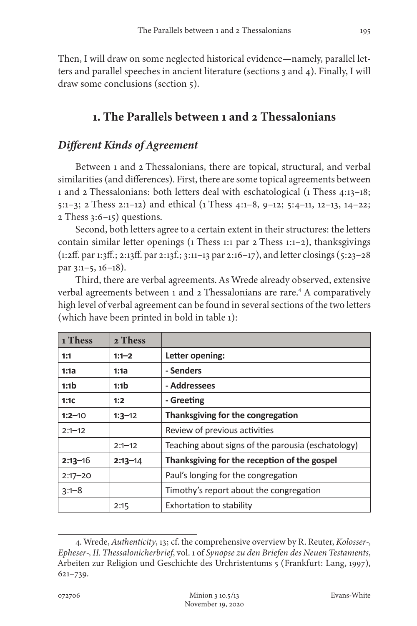Then, I will draw on some neglected historical evidence—namely, parallel letters and parallel speeches in ancient literature (sections 3 and 4). Finally, I will draw some conclusions (section 5).

# **1. The Parallels between 1 and 2 Thessalonians**

## *Different Kinds of Agreement*

Between 1 and 2 Thessalonians, there are topical, structural, and verbal similarities (and differences). First, there are some topical agreements between 1 and 2 Thessalonians: both letters deal with eschatological (1 Thess 4:13–18; 5:1–3; 2 Thess 2:1–12) and ethical (1 Thess 4:1–8, 9–12; 5:4–11, 12–13, 14–22; 2 Thess 3:6–15) questions.

Second, both letters agree to a certain extent in their structures: the letters contain similar letter openings (1 Thess 1:1 par 2 Thess 1:1–2), thanksgivings (1:2ff. par 1:3ff.; 2:13ff. par 2:13f.; 3:11–13 par 2:16–17), and letter closings (5:23–28 par 3:1–5, 16–18).

Third, there are verbal agreements. As Wrede already observed, extensive verbal agreements between 1 and 2 Thessalonians are rare.<sup>4</sup> A comparatively high level of verbal agreement can be found in several sections of the two letters (which have been printed in bold in table 1):

| 1 Thess          | 2 Thess          |                                                    |  |
|------------------|------------------|----------------------------------------------------|--|
| 1:1              | $1:1-2$          | Letter opening:                                    |  |
| 1:1a             | 1:1a             | - Senders                                          |  |
| 1:1 <sub>b</sub> | 1:1 <sub>b</sub> | - Addressees                                       |  |
| 1:1C             | 1:2              | - Greeting                                         |  |
| $1:2 - 10$       | $1:3-12$         | Thanksgiving for the congregation                  |  |
| $2:1 - 12$       |                  | Review of previous activities                      |  |
|                  | $2:1 - 12$       | Teaching about signs of the parousia (eschatology) |  |
| $2:13 - 16$      | $2:13 - 14$      | Thanksgiving for the reception of the gospel       |  |
| $2:17 - 20$      |                  | Paul's longing for the congregation                |  |
| $3:1 - 8$        |                  | Timothy's report about the congregation            |  |
|                  | 2:15             | Exhortation to stability                           |  |

<sup>4.</sup> Wrede, *Authenticity*, 13; cf. the comprehensive overview by R. Reuter, *Kolosser-, Epheser-, II. Thessalonicherbrief*, vol. 1 of *Synopse zu den Briefen des Neuen Testaments*, Arbeiten zur Religion und Geschichte des Urchristentums 5 (Frankfurt: Lang, 1997), 621–739.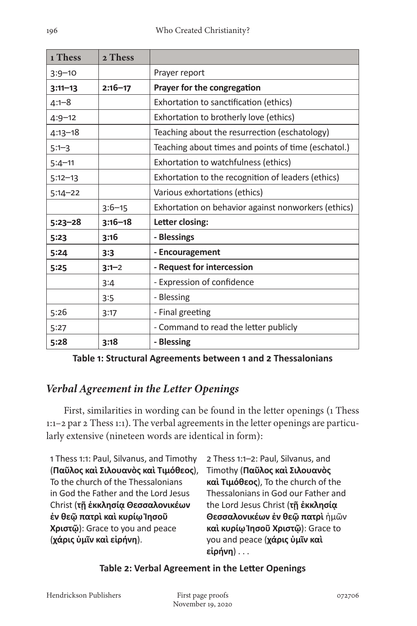| 1 Thess     | 2 Thess     |                                                     |  |
|-------------|-------------|-----------------------------------------------------|--|
| $3:9 - 10$  |             | Prayer report                                       |  |
| $3:11 - 13$ | $2:16 - 17$ | Prayer for the congregation                         |  |
| 4:1–8       |             | Exhortation to sanctification (ethics)              |  |
| $4:9-12$    |             | Exhortation to brotherly love (ethics)              |  |
| 4:13–18     |             | Teaching about the resurrection (eschatology)       |  |
| $5:1-3$     |             | Teaching about times and points of time (eschatol.) |  |
| $5:4 - 11$  |             | Exhortation to watchfulness (ethics)                |  |
| $5:12-13$   |             | Exhortation to the recognition of leaders (ethics)  |  |
| $5:14 - 22$ |             | Various exhortations (ethics)                       |  |
|             | $3:6 - 15$  | Exhortation on behavior against nonworkers (ethics) |  |
| $5:23 - 28$ | $3:16 - 18$ | Letter closing:                                     |  |
| 5:23        | 3:16        | - Blessings                                         |  |
| 5:24        | 3:3         | - Encouragement                                     |  |
| 5:25        | $3:1-2$     | - Request for intercession                          |  |
|             | 3:4         | - Expression of confidence                          |  |
|             | 3:5         | - Blessing                                          |  |
| 5:26        | 3:17        | - Final greeting                                    |  |
| 5:27        |             | - Command to read the letter publicly               |  |
| 5:28        | 3:18        | - Blessing                                          |  |

**Table 1: Structural Agreements between 1 and 2 Thessalonians**

# *Verbal Agreement in the Letter Openings*

First, similarities in wording can be found in the letter openings (1 Thess 1:1–2 par 2 Thess 1:1). The verbal agreements in the letter openings are particularly extensive (nineteen words are identical in form):

1 Thess 1:1: Paul, Silvanus, and Timothy (**Παῦλος καὶ Σιλουανὸς καὶ Τιμόθεος**), To the church of the Thessalonians in God the Father and the Lord Jesus Christ (**τῇ ἐκκλησίᾳ Θεσσαλονικέων ἐν θεῷ πατρὶ καὶ κυρίῳ Ἰησοῦ Χριστῷ**): Grace to you and peace (**χάρις ὑμῖν καὶ εἰρήνη**).

2 Thess 1:1–2: Paul, Silvanus, and Timothy (**Παῦλος καὶ Σιλουανὸς καὶ Τιμόθεος**), To the church of the Thessalonians in God our Father and the Lord Jesus Christ (**τῇ ἐκκλησίᾳ Θεσσαλονικέων ἐν θεῷ πατρὶ** ἡμῶν **καὶ κυρίῳ Ἰησοῦ Χριστῷ**): Grace to you and peace (**χάρις ὑμῖν καὶ εἰρήνη**) . . .

#### **Table 2: Verbal Agreement in the Letter Openings**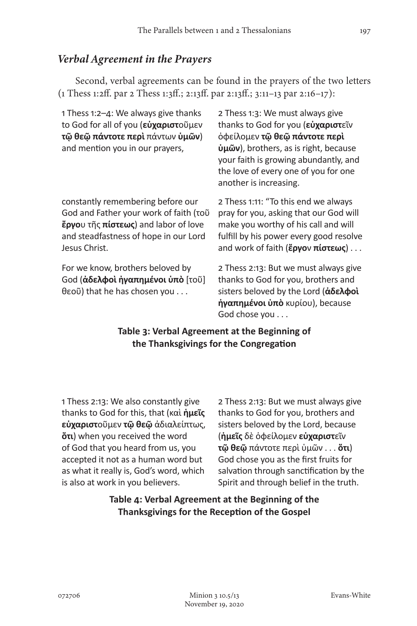## *Verbal Agreement in the Prayers*

Second, verbal agreements can be found in the prayers of the two letters (1 Thess 1:2ff. par 2 Thess 1:3ff.; 2:13ff. par 2:13ff.; 3:11–13 par 2:16–17):

| 1 Thess 1:2-4: We always give thanks<br>to God for all of you ( <b>εὐχαριστ</b> οῦμεν<br>τῷ θεῷ πάντοτε περὶ πάντων ὑμῶν)<br>and mention you in our prayers,                  | 2 Thess 1:3: We must always give<br>thanks to God for you (εύχαριστεῖν<br>όφείλομεν τῷ θεῷ πάντοτε περί<br>$\dot{\mathbf{u}}$ $\tilde{\mathbf{w}}$ $\tilde{\mathbf{v}}$ ), brothers, as is right, because<br>your faith is growing abundantly, and<br>the love of every one of you for one<br>another is increasing. |
|-------------------------------------------------------------------------------------------------------------------------------------------------------------------------------|----------------------------------------------------------------------------------------------------------------------------------------------------------------------------------------------------------------------------------------------------------------------------------------------------------------------|
| constantly remembering before our<br>God and Father your work of faith (τοῦ<br>έργου τῆς πίστεως) and labor of love<br>and steadfastness of hope in our Lord<br>Jesus Christ. | 2 Thess 1:11: "To this end we always<br>pray for you, asking that our God will<br>make you worthy of his call and will<br>fulfill by his power every good resolve<br>and work of faith ( $\epsilon$ <sup>p</sup> yov $\pi(\sigma \tau \epsilon \omega \varsigma)$                                                    |
| For we know, brothers beloved by<br>God ( <b>άδελφοὶ ἠγαπημένοι ὑπὸ</b> [τοῦ]<br>θεοῦ) that he has chosen you                                                                 | 2 Thess 2:13: But we must always give<br>thanks to God for you, brothers and<br>sisters beloved by the Lord (άδελφοί<br>ήγαπημένοι ύπό κυρίου), because                                                                                                                                                              |

God chose you . . .

#### **Table 3: Verbal Agreement at the Beginning of the Thanksgivings for the Congregation**

1 Thess 2:13: We also constantly give thanks to God for this, that (καὶ **ἡμεῖς εὐχαριστ**οῦμεν **τῷ θεῷ** ἀδιαλείπτως, **ὅτι**) when you received the word of God that you heard from us, you accepted it not as a human word but as what it really is, God's word, which is also at work in you believers.

2 Thess 2:13: But we must always give thanks to God for you, brothers and sisters beloved by the Lord, because (**ἡμεῖς** δὲ ὀφείλομεν **εὐχαριστ**εῖν **τῷ θεῷ** πάντοτε περὶ ὑμῶν . . . **ὅτι**) God chose you as the first fruits for salvation through sanctification by the Spirit and through belief in the truth.

**Table 4: Verbal Agreement at the Beginning of the Thanksgivings for the Reception of the Gospel**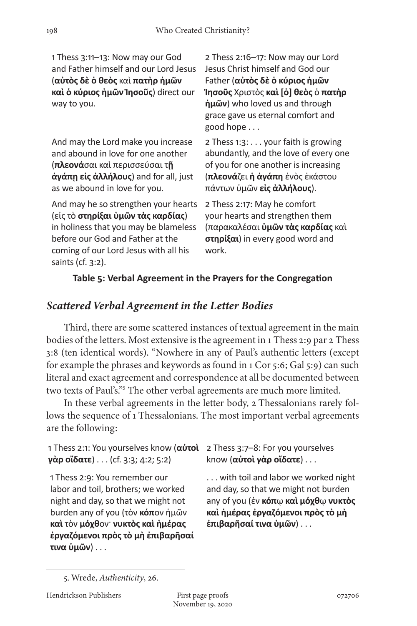1 Thess 3:11–13: Now may our God and Father himself and our Lord Jesus (**αὐτὸς δὲ ὁ θεὸς** καὶ **πατὴρ ἡμῶν καὶ ὁ κύριος ἡμῶν Ἰησοῦς**) direct our way to you.

And may the Lord make you increase and abound in love for one another (**πλεονά**σαι καὶ περισσεύσαι τ**ῇ ἀγάπῃ εἰς ἀλλήλους**) and for all, just as we abound in love for you.

And may he so strengthen your hearts (εἰς τὸ **στηρίξαι ὑμῶν τὰς καρδίας**) in holiness that you may be blameless before our God and Father at the coming of our Lord Jesus with all his saints (cf. 3:2).

2 Thess 2:16–17: Now may our Lord Jesus Christ himself and God our Father (**αὐτὸς δὲ ὁ κύριος ἡμῶν Ἰησοῦς** Χριστὸς **καὶ [ὁ] θεὸς** ὁ **πατὴρ ἡμῶν**) who loved us and through grace gave us eternal comfort and good hope . . .

2 Thess 1:3: . . . your faith is growing abundantly, and the love of every one of you for one another is increasing (**πλεονά**ζει **ἡ ἀγάπη** ἑνὸς ἑκάστου πάντων ὑμῶν **εἰς ἀλλήλους**).

2 Thess 2:17: May he comfort your hearts and strengthen them (παρακαλέσαι **ὑμῶν τὰς καρδίας** καὶ **στηρίξαι**) in every good word and work.

#### **Table 5: Verbal Agreement in the Prayers for the Congregation**

## *Scattered Verbal Agreement in the Letter Bodies*

Third, there are some scattered instances of textual agreement in the main bodies of the letters. Most extensive is the agreement in 1 Thess 2:9 par 2 Thess 3:8 (ten identical words). "Nowhere in any of Paul's authentic letters (except for example the phrases and keywords as found in 1 Cor 5:6; Gal 5:9) can such literal and exact agreement and correspondence at all be documented between two texts of Paul's."5 The other verbal agreements are much more limited.

In these verbal agreements in the letter body, 2 Thessalonians rarely follows the sequence of 1 Thessalonians. The most important verbal agreements are the following:

1 Thess 2:1: You yourselves know (**αὐτοὶ**  2 Thess 3:7–8: For you yourselves **γὰρ οἴδατε**) . . . (cf. 3:3; 4:2; 5:2)

1 Thess 2:9: You remember our labor and toil, brothers; we worked night and day, so that we might not burden any of you (τὸν **κόπ**ον ἡμῶν **καὶ** τὸν **μόχθ**ον· **νυκτὸς καὶ ἡμέρας ἐργαζόμενοι πρὸς τὸ μὴ ἐπιβαρῆσαί τινα ὑμῶν**) . . .

know (**αὐτοὶ γὰρ οἴδατε**) . . .

. . . with toil and labor we worked night and day, so that we might not burden any of you (ἐν **κόπ**ῳ **καὶ μόχθ**ῳ **νυκτὸς καὶ ἡμέρας ἐργαζόμενοι πρὸς τὸ μὴ ἐπιβαρῆσαί τινα ὑμῶν**) . . .

<sup>5.</sup> Wrede, *Authenticity*, 26.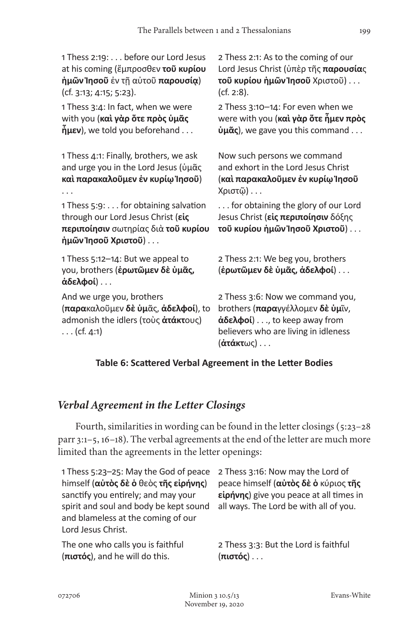1 Thess 2:19: . . . before our Lord Jesus at his coming (ἔμπροσθεν **τοῦ κυρίου ἡμῶν Ἰησοῦ** ἐν τῇ αὐτοῦ **παρουσίᾳ**) (cf. 3:13; 4:15; 5:23).

1 Thess 3:4: In fact, when we were with you (**καὶ γὰρ ὅτε πρὸς ὑμᾶς ἦμεν**), we told you beforehand . . .

1 Thess 4:1: Finally, brothers, we ask and urge you in the Lord Jesus (ὑμᾶς **καὶ παρακαλοῦμεν ἐν κυρίῳ Ἰησοῦ**) . . .

1 Thess 5:9: . . . for obtaining salvation through our Lord Jesus Christ (**εἰς περιποίησιν** σωτηρίας διὰ **τοῦ κυρίου ἡμῶν Ἰησοῦ Χριστοῦ**) . . .

1 Thess 5:12–14: But we appeal to you, brothers (**ἐρωτῶμεν δὲ ὑμᾶς, ἀδελφοί**) . . .

And we urge you, brothers (**παρα**καλοῦμεν **δὲ ὑμ**ᾶς, **ἀδελφοί**), to admonish the idlers (τοὺς **ἀτάκτ**ους)  $\ldots$  (cf. 4:1)

2 Thess 2:1: As to the coming of our Lord Jesus Christ (ὑπὲρ τῆς **παρουσία**ς **τοῦ κυρίου ἡμῶν Ἰησοῦ** Χριστοῦ) . . . (cf. 2:8).

2 Thess 3:10–14: For even when we were with you (**καὶ γὰρ ὅτε ἦμεν πρὸς ὑμᾶς**), we gave you this command . . .

Now such persons we command and exhort in the Lord Jesus Christ (**καὶ παρακαλοῦμεν ἐν κυρίῳ Ἰησοῦ** Χριστῷ) . . .

. . . for obtaining the glory of our Lord Jesus Christ (**εἰς περιποίησιν** δόξης **τοῦ κυρίου ἡμῶν Ἰησοῦ Χριστοῦ**) . . .

2 Thess 2:1: We beg you, brothers (**ἐρωτῶμεν δὲ ὑμᾶς, ἀδελφοί**) . . .

2 Thess 3:6: Now we command you, brothers (**παρα**γγέλλομεν **δὲ ὑμ**ῖν, **ἀδελφοί**) . . ., to keep away from believers who are living in idleness (**ἀτάκτ**ως) . . .

#### **Table 6: Scattered Verbal Agreement in the Letter Bodies**

## *Verbal Agreement in the Letter Closings*

Fourth, similarities in wording can be found in the letter closings (5:23–28 parr 3:1–5, 16–18). The verbal agreements at the end of the letter are much more limited than the agreements in the letter openings:

1 Thess 5:23–25: May the God of peace himself (**αὐτὸς δὲ ὁ** θεὸς **τῆς εἰρήνης**) sanctify you entirely; and may your spirit and soul and body be kept sound and blameless at the coming of our Lord Jesus Christ.

The one who calls you is faithful (**πιστός**), and he will do this.

2 Thess 3:16: Now may the Lord of peace himself (**αὐτὸς δὲ ὁ** κύριος **τῆς εἰρήνης**) give you peace at all times in all ways. The Lord be with all of you.

2 Thess 3:3: But the Lord is faithful (**πιστός**) . . .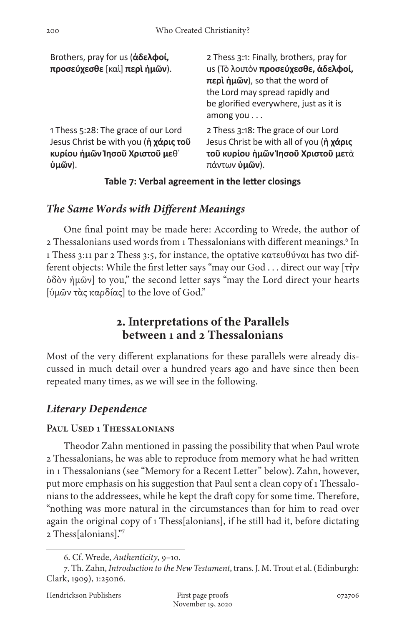| Brothers, pray for us (άδελφοί,<br>προσεύχεσθε [καὶ] περὶ ἡμῶν). | 2 Thess 3:1: Finally, brothers, pray for<br>us (Τὸ λοιπὸν προσεύχεσθε, άδελφοί,<br>περί ήμῶν), so that the word of<br>the Lord may spread rapidly and<br>be glorified everywhere, just as it is<br>among you $\dots$ |
|------------------------------------------------------------------|----------------------------------------------------------------------------------------------------------------------------------------------------------------------------------------------------------------------|
| 1 Thess 5:28: The grace of our Lord                              | 2 Thess 3:18: The grace of our Lord                                                                                                                                                                                  |
| Jesus Christ be with you (η χάρις του                            | Jesus Christ be with all of you (ή χάρις                                                                                                                                                                             |
| κυρίου ημών Ίησοῦ Χριστοῦ μεθ'                                   | τοῦ κυρίου ἡμῶν Ἰησοῦ Χριστοῦ μετά                                                                                                                                                                                   |
| $\dot{\mathbf{u}}$ μῶν).                                         | πάντων <b>ὑμῶν</b> ).                                                                                                                                                                                                |

#### **Table 7: Verbal agreement in the letter closings**

# *The Same Words with Different Meanings*

One final point may be made here: According to Wrede, the author of 2 Thessalonians used words from 1 Thessalonians with different meanings.<sup>6</sup> In 1 Thess 3:11 par 2 Thess 3:5, for instance, the optative κατευθύναι has two different objects: While the first letter says "may our God . . . direct our way [τὴν ὁδὸν ἡμῶν] to you," the second letter says "may the Lord direct your hearts [ὑμῶν τὰς καρδίας] to the love of God."

# **2. Interpretations of the Parallels between 1 and 2 Thessalonians**

Most of the very different explanations for these parallels were already discussed in much detail over a hundred years ago and have since then been repeated many times, as we will see in the following.

# *Literary Dependence*

## **Paul Used 1 Thessalonians**

Theodor Zahn mentioned in passing the possibility that when Paul wrote 2 Thessalonians, he was able to reproduce from memory what he had written in 1 Thessalonians (see "Memory for a Recent Letter" below). Zahn, however, put more emphasis on his suggestion that Paul sent a clean copy of 1 Thessalonians to the addressees, while he kept the draft copy for some time. Therefore, "nothing was more natural in the circumstances than for him to read over again the original copy of 1 Thess[alonians], if he still had it, before dictating 2 Thess[alonians]."7

<sup>6.</sup> Cf. Wrede, *Authenticity*, 9–10.

<sup>7.</sup> Th. Zahn, *Introduction to the New Testament*, trans. J. M. Trout et al. (Edinburgh: Clark, 1909), 1:250n6.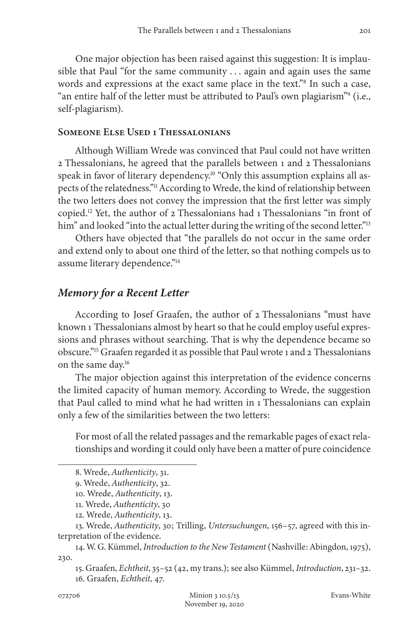One major objection has been raised against this suggestion: It is implausible that Paul "for the same community . . . again and again uses the same words and expressions at the exact same place in the text."8 In such a case, " an entire half of the letter must be attributed to Paul's own plagiarism"<sup>9</sup> (i.e., self-plagiarism).

#### **Someone Else Used 1 Thessalonians**

Although William Wrede was convinced that Paul could not have written 2 Thessalonians, he agreed that the parallels between 1 and 2 Thessalonians speak in favor of literary dependency.<sup>10</sup> "Only this assumption explains all aspects of the relatedness."11 According to Wrede, the kind of relationship between the two letters does not convey the impression that the first letter was simply copied.<sup>12</sup> Yet, the author of  $\alpha$  Thessalonians had 1 Thessalonians "in front of him" and looked "into the actual letter during the writing of the second letter."<sup>13</sup>

Others have objected that "the parallels do not occur in the same order and extend only to about one third of the letter, so that nothing compels us to assume literary dependence."14

#### *Memory for a Recent Letter*

According to Josef Graafen, the author of 2 Thessalonians "must have known 1 Thessalonians almost by heart so that he could employ useful expressions and phrases without searching. That is why the dependence became so obscure."15 Graafen regarded it as possible that Paul wrote 1 and 2 Thessalonians on the same day.16

The major objection against this interpretation of the evidence concerns the limited capacity of human memory. According to Wrede, the suggestion that Paul called to mind what he had written in 1 Thessalonians can explain only a few of the similarities between the two letters:

For most of all the related passages and the remarkable pages of exact relationships and wording it could only have been a matter of pure coincidence

<sup>8.</sup> Wrede, *Authenticity*, 31.

<sup>9.</sup> Wrede, *Authenticity*, 32.

<sup>10.</sup> Wrede, *Authenticity*, 13.

<sup>11.</sup> Wrede, *Authenticity*, 30

<sup>12.</sup> Wrede, *Authenticity*, 13.

<sup>13.</sup> Wrede, *Authenticity*, 30; Trilling, *Untersuchungen*, 156–57, agreed with this interpretation of the evidence.

<sup>14.</sup> W. G. Kümmel, *Introduction to the New Testament* (Nashville: Abingdon, 1975), 230.

<sup>15.</sup> Graafen, *Echtheit*, 35–52 (42, my trans.); see also Kümmel, *Introduction*, 231–32. 16. Graafen, *Echtheit*, 47.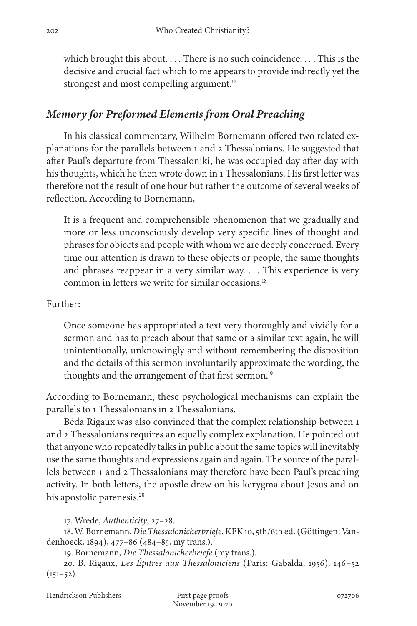which brought this about.... There is no such coincidence.... This is the decisive and crucial fact which to me appears to provide indirectly yet the strongest and most compelling argument.<sup>17</sup>

# *Memory for Preformed Elements from Oral Preaching*

In his classical commentary, Wilhelm Bornemann offered two related explanations for the parallels between 1 and 2 Thessalonians. He suggested that after Paul's departure from Thessaloniki, he was occupied day after day with his thoughts, which he then wrote down in 1 Thessalonians. His first letter was therefore not the result of one hour but rather the outcome of several weeks of reflection. According to Bornemann,

It is a frequent and comprehensible phenomenon that we gradually and more or less unconsciously develop very specific lines of thought and phrases for objects and people with whom we are deeply concerned. Every time our attention is drawn to these objects or people, the same thoughts and phrases reappear in a very similar way. . . . This experience is very common in letters we write for similar occasions.18

#### Further:

Once someone has appropriated a text very thoroughly and vividly for a sermon and has to preach about that same or a similar text again, he will unintentionally, unknowingly and without remembering the disposition and the details of this sermon involuntarily approximate the wording, the thoughts and the arrangement of that first sermon.<sup>19</sup>

According to Bornemann, these psychological mechanisms can explain the parallels to 1 Thessalonians in 2 Thessalonians.

Béda Rigaux was also convinced that the complex relationship between 1 and 2 Thessalonians requires an equally complex explanation. He pointed out that anyone who repeatedly talks in public about the same topics will inevitably use the same thoughts and expressions again and again. The source of the parallels between 1 and 2 Thessalonians may therefore have been Paul's preaching activity. In both letters, the apostle drew on his kerygma about Jesus and on his apostolic parenesis.<sup>20</sup>

<sup>17.</sup> Wrede, *Authenticity*, 27–28.

<sup>18.</sup> W. Bornemann, *Die Thessalonicherbriefe*, KEK 10, 5th/6th ed. (Göttingen: Vandenhoeck, 1894), 477–86 (484–85, my trans.).

<sup>19.</sup> Bornemann, *Die Thessalonicherbriefe* (my trans.).

<sup>20.</sup> B. Rigaux, *Les Épitres aux Thessaloniciens* (Paris: Gabalda, 1956), 146–52  $(151-52)$ .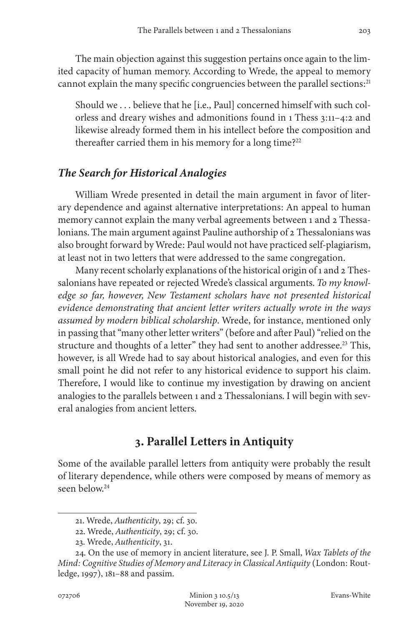The main objection against this suggestion pertains once again to the limited capacity of human memory. According to Wrede, the appeal to memory cannot explain the many specific congruencies between the parallel sections:<sup>21</sup>

Should we . . . believe that he [i.e., Paul] concerned himself with such colorless and dreary wishes and admonitions found in 1 Thess 3:11–4:2 and likewise already formed them in his intellect before the composition and thereafter carried them in his memory for a long time?<sup>22</sup>

#### *The Search for Historical Analogies*

William Wrede presented in detail the main argument in favor of literary dependence and against alternative interpretations: An appeal to human memory cannot explain the many verbal agreements between 1 and 2 Thessalonians. The main argument against Pauline authorship of 2 Thessalonians was also brought forward by Wrede: Paul would not have practiced self-plagiarism, at least not in two letters that were addressed to the same congregation.

Many recent scholarly explanations of the historical origin of 1 and 2 Thessalonians have repeated or rejected Wrede's classical arguments. *To my knowledge so far, however, New Testament scholars have not presented historical evidence demonstrating that ancient letter writers actually wrote in the ways assumed by modern biblical scholarship*. Wrede, for instance, mentioned only in passing that "many other letter writers" (before and after Paul) "relied on the structure and thoughts of a letter" they had sent to another addressee.<sup>23</sup> This, however, is all Wrede had to say about historical analogies, and even for this small point he did not refer to any historical evidence to support his claim. Therefore, I would like to continue my investigation by drawing on ancient analogies to the parallels between 1 and 2 Thessalonians. I will begin with several analogies from ancient letters.

# **3. Parallel Letters in Antiquity**

Some of the available parallel letters from antiquity were probably the result of literary dependence, while others were composed by means of memory as seen below.24

<sup>21.</sup> Wrede, *Authenticity*, 29; cf. 30.

<sup>22.</sup> Wrede, *Authenticity*, 29; cf. 30.

<sup>23.</sup> Wrede, *Authenticity*, 31.

<sup>24.</sup> On the use of memory in ancient literature, see J. P. Small, *Wax Tablets of the Mind: Cognitive Studies of Memory and Literacy in Classical Antiquity* (London: Routledge, 1997), 181–88 and passim.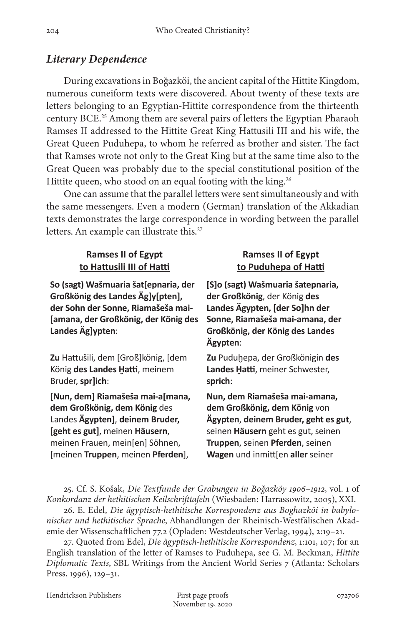#### *Literary Dependence*

During excavations in Boğazköi, the ancient capital of the Hittite Kingdom, numerous cuneiform texts were discovered. About twenty of these texts are letters belonging to an Egyptian-Hittite correspondence from the thirteenth century BCE.25 Among them are several pairs of letters the Egyptian Pharaoh Ramses II addressed to the Hittite Great King Hattusili III and his wife, the Great Queen Puduhepa, to whom he referred as brother and sister. The fact that Ramses wrote not only to the Great King but at the same time also to the Great Queen was probably due to the special constitutional position of the Hittite queen, who stood on an equal footing with the king.<sup>26</sup>

One can assume that the parallel letters were sent simultaneously and with the same messengers. Even a modern (German) translation of the Akkadian texts demonstrates the large correspondence in wording between the parallel letters. An example can illustrate this.<sup>27</sup>

#### **Ramses II of Egypt to Hattusili III of Hatti**

**So (sagt) Wašmuaria šat[epnaria, der Großkönig des Landes Äg]y[pten], der Sohn der Sonne, Riamašeša mai- [amana, der Großkönig, der König des Landes Äg]ypten**:

**Zu** Hattušili, dem [Groß]könig, [dem König **des Landes Ḫatti**, meinem Bruder, **spr]ich**:

**[Nun, dem] Riamašeša mai-a[mana, dem Großkönig, dem König** des Landes **Ägypten]**, **deinem Bruder, [geht es gut]**, meinen **Häusern**, meinen Frauen, mein[en] Söhnen, [meinen **Truppen**, meinen **Pferden**],

#### **Ramses II of Egypt to Puduhepa of Hatti**

**[S]o (sagt) Wašmuaria šatepnaria, der Großkönig**, der König **des Landes Ägypten, [der So]hn der Sonne, Riamašeša mai-amana, der Großkönig, der König des Landes Ägypten**:

**Zu** Puduḫepa, der Großkönigin **des Landes Ḫatti**, meiner Schwester, **sprich**:

**Nun, dem Riamašeša mai-amana, dem Großkönig, dem König** von **Ägypten**, **deinem Bruder, geht es gut**, seinen **Häusern** geht es gut, seinen **Truppen**, seinen **Pferden**, seinen **Wagen** und inmitt[en **aller** seiner

<sup>25.</sup> Cf. S. Košak, *Die Textfunde der Grabungen in Boğazköy 1906–1912*, vol. 1 of *Konkordanz der hethitischen Keilschrifttafeln* (Wiesbaden: Harrassowitz, 2005), XXI.

<sup>26.</sup> E. Edel, *Die ägyptisch-hethitische Korrespondenz aus Boghazköi in babylonischer und hethitischer Sprache*, Abhandlungen der Rheinisch-Westfälischen Akademie der Wissenschaftlichen 77.2 (Opladen: Westdeutscher Verlag, 1994), 2:19–21.

<sup>27.</sup> Quoted from Edel, *Die ägyptisch-hethitische Korrespondenz*, 1:101, 107; for an English translation of the letter of Ramses to Puduhepa, see G. M. Beckman, *Hittite Diplomatic Texts*, SBL Writings from the Ancient World Series 7 (Atlanta: Scholars Press, 1996), 129–31.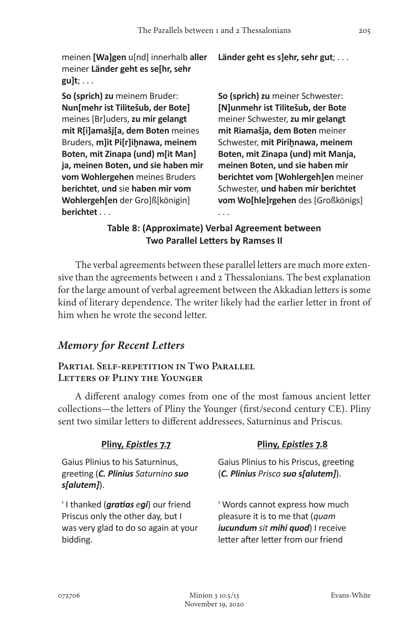meinen **[Wa]gen** u[nd] innerhalb **aller** meiner **Länder geht es se[hr, sehr gu]t**; . . .

**So (sprich) zu** meinem Bruder: **Nun[mehr ist Tilitešub, der Bote]** meines [Br]uders, **zu mir gelangt mit R[i]amašj[a, dem Boten** meines Bruders, **m]it Pi[r]iḫnawa, meinem Boten, mit Zinapa (und) m[it Man] ja, meinen Boten, und sie haben mir vom Wohlergehen** meines Bruders **berichtet**, **und** sie **haben mir vom Wohlergeh[en** der Gro]ß[königin] **berichtet** . . .

**Länder geht es s]ehr, sehr gut**; . . .

**So (sprich) zu** meiner Schwester: **[N]unmehr ist Tilitešub, der Bote** meiner Schwester, **zu mir gelangt mit Riamašja, dem Boten** meiner Schwester, **mit Piriḫnawa, meinem Boten, mit Zinapa (und) mit Manja, meinen Boten, und sie haben mir berichtet vom [Wohlergeh]en** meiner Schwester, **und haben mir berichtet vom Wo[hle]rgehen** des [Großkönigs]

### **Table 8: (Approximate) Verbal Agreement between Two Parallel Letters by Ramses II**

. . .

The verbal agreements between these parallel letters are much more extensive than the agreements between 1 and 2 Thessalonians. The best explanation for the large amount of verbal agreement between the Akkadian letters is some kind of literary dependence. The writer likely had the earlier letter in front of him when he wrote the second letter.

#### *Memory for Recent Letters*

#### PARTIAL SELF-REPETITION IN TWO PARALLEL **Letters of Pliny the Younger**

A different analogy comes from one of the most famous ancient letter collections—the letters of Pliny the Younger (first/second century CE). Pliny sent two similar letters to different addressees, Saturninus and Priscus.

#### **Pliny,** *Epistles* **7.7**

Gaius Plinius to his Saturninus, greeting (*C. Plinius Saturnino suo s[alutem]*).

<sup>1</sup> I thanked (*gratias egi*) our friend Priscus only the other day, but I was very glad to do so again at your bidding.

#### **Pliny,** *Epistles* **7.8**

Gaius Plinius to his Priscus, greeting (*C. Plinius Prisco suo s[alutem]*).

<sup>1</sup> Words cannot express how much pleasure it is to me that (*quam iucundum sit mihi quod*) I receive letter after letter from our friend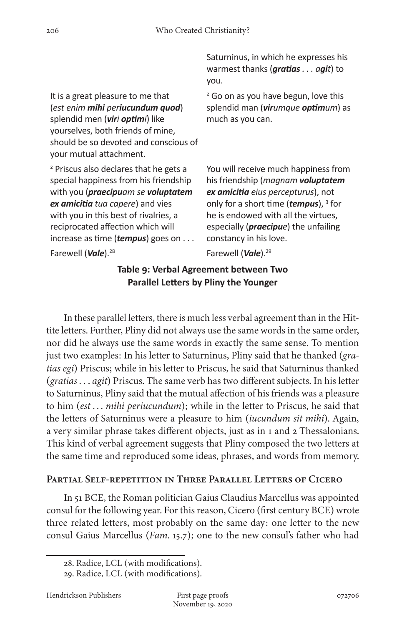It is a great pleasure to me that (*est enim mihi periucundum quod*) splendid men (viri optimi) like yourselves, both friends of mine, should be so devoted and conscious of your mutual attachment.

<sup>2</sup> Priscus also declares that he gets a special happiness from his friendship with you (*praecipuam se voluptatem ex amicitia tua capere*) and vies with you in this best of rivalries, a reciprocated affection which will increase as time (*tempus*) goes on . . .

Saturninus, in which he expresses his warmest thanks (*gratias . . . agit*) to you.

<sup>2</sup> Go on as you have begun, love this splendid man (*virumque optimum*) as much as you can.

You will receive much happiness from his friendship (*magnam voluptatem ex amicitia eius percepturus*), not only for a short time (*tempus*), <sup>3</sup> for he is endowed with all the virtues, especially (*praecipue*) the unfailing constancy in his love.

Farewell (*Vale*).28 Farewell (*Vale*).29

#### **Table 9: Verbal Agreement between Two Parallel Letters by Pliny the Younger**

In these parallel letters, there is much less verbal agreement than in the Hittite letters. Further, Pliny did not always use the same words in the same order, nor did he always use the same words in exactly the same sense. To mention just two examples: In his letter to Saturninus, Pliny said that he thanked (*gratias egi*) Priscus; while in his letter to Priscus, he said that Saturninus thanked (*gratias* . . . *agit*) Priscus. The same verb has two different subjects. In his letter to Saturninus, Pliny said that the mutual affection of his friends was a pleasure to him (*est . . . mihi periucundum*); while in the letter to Priscus, he said that the letters of Saturninus were a pleasure to him (*iucundum sit mihi*). Again, a very similar phrase takes different objects, just as in 1 and 2 Thessalonians. This kind of verbal agreement suggests that Pliny composed the two letters at the same time and reproduced some ideas, phrases, and words from memory.

#### **Partial Self-repetition in Three Parallel Letters of Cicero**

In 51 BCE, the Roman politician Gaius Claudius Marcellus was appointed consul for the following year. For this reason, Cicero (first century BCE) wrote three related letters, most probably on the same day: one letter to the new consul Gaius Marcellus (*Fam*. 15.7); one to the new consul's father who had

<sup>28.</sup> Radice, LCL (with modifications).

<sup>29.</sup> Radice, LCL (with modifications).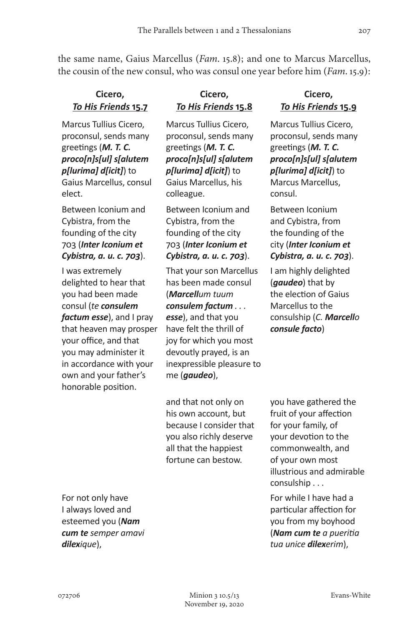the same name, Gaius Marcellus (*Fam*. 15.8); and one to Marcus Marcellus, the cousin of the new consul, who was consul one year before him (*Fam*. 15.9):

#### **Cicero,** *To His Friends* **15.7**

Marcus Tullius Cicero, proconsul, sends many greetings (*M. T. C. proco[n]s[ul] s[alutem p[lurima] d[icit]*) to Gaius Marcellus, consul elect.

Between Iconium and Cybistra, from the founding of the city 703 (*Inter Iconium et Cybistra, a. u. c. 703*).

I was extremely delighted to hear that you had been made consul (*te consulem factum esse*), and I pray that heaven may prosper your office, and that you may administer it in accordance with your own and your father's honorable position.

For not only have I always loved and esteemed you (*Nam cum te semper amavi dilexique*),

### **Cicero,** *To His Friends* **15.8**

Marcus Tullius Cicero, proconsul, sends many greetings (*M. T. C. proco[n]s[ul] s[alutem p[lurima] d[icit]*) to Gaius Marcellus, his colleague.

Between Iconium and Cybistra, from the founding of the city 703 (*Inter Iconium et Cybistra, a. u. c. 703*).

That your son Marcellus has been made consul (*Marcellum tuum consulem factum . . . esse*), and that you have felt the thrill of joy for which you most devoutly prayed, is an inexpressible pleasure to me (*gaudeo*),

and that not only on his own account, but because I consider that you also richly deserve all that the happiest fortune can bestow.

#### **Cicero,** *To His Friends* **15.9**

Marcus Tullius Cicero, proconsul, sends many greetings (*M. T. C. proco[n]s[ul] s[alutem p[lurima] d[icit]*) to Marcus Marcellus, consul.

Between Iconium and Cybistra, from the founding of the city (*Inter Iconium et Cybistra, a. u. c. 703*).

I am highly delighted (*gaudeo*) that by the election of Gaius Marcellus to the consulship (*C. Marcello consule facto*)

you have gathered the fruit of your affection for your family, of your devotion to the commonwealth, and of your own most illustrious and admirable consulship . . .

For while I have had a particular affection for you from my boyhood (*Nam cum te a pueritia tua unice dilexerim*),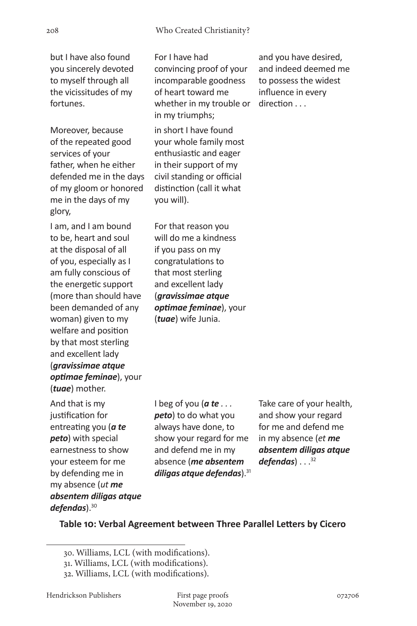but I have also found you sincerely devoted to myself through all the vicissitudes of my fortunes.

Moreover, because of the repeated good services of your father, when he either defended me in the days of my gloom or honored me in the days of my glory,

I am, and I am bound to be, heart and soul at the disposal of all of you, especially as I am fully conscious of the energetic support (more than should have been demanded of any woman) given to my welfare and position by that most sterling and excellent lady (*gravissimae atque optimae feminae*), your (*tuae*) mother.

And that is my justification for entreating you (*a te peto*) with special earnestness to show your esteem for me by defending me in my absence (*ut me absentem diligas atque defendas*).30

For I have had convincing proof of your incomparable goodness of heart toward me whether in my trouble or in my triumphs;

in short I have found your whole family most enthusiastic and eager in their support of my civil standing or official distinction (call it what you will).

For that reason you will do me a kindness if you pass on my congratulations to that most sterling and excellent lady (*gravissimae atque optimae feminae*), your (*tuae*) wife Junia.

and you have desired, and indeed deemed me to possess the widest influence in every direction . . .

I beg of you (*a te . . . peto*) to do what you always have done, to show your regard for me and defend me in my absence (*me absentem diligas atque defendas*).31

Take care of your health, and show your regard for me and defend me in my absence (*et me absentem diligas atque defendas*) . . . 32

#### **Table 10: Verbal Agreement between Three Parallel Letters by Cicero**

<sup>30.</sup> Williams, LCL (with modifications).

<sup>31.</sup> Williams, LCL (with modifications).

<sup>32.</sup> Williams, LCL (with modifications).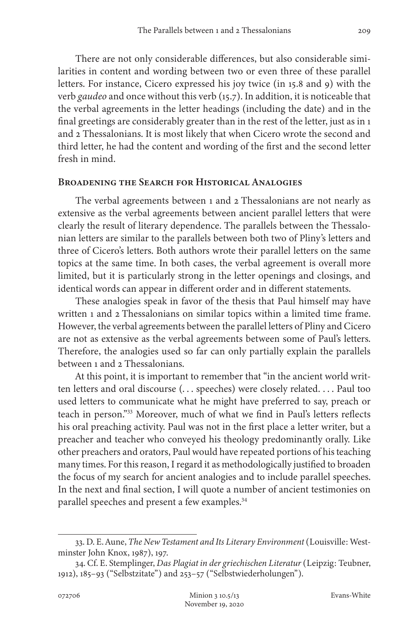There are not only considerable differences, but also considerable similarities in content and wording between two or even three of these parallel letters. For instance, Cicero expressed his joy twice (in 15.8 and 9) with the verb *gaudeo* and once without this verb (15.7). In addition, it is noticeable that the verbal agreements in the letter headings (including the date) and in the final greetings are considerably greater than in the rest of the letter, just as in 1 and 2 Thessalonians. It is most likely that when Cicero wrote the second and third letter, he had the content and wording of the first and the second letter fresh in mind.

#### **Broadening the Search for Historical Analogies**

The verbal agreements between 1 and 2 Thessalonians are not nearly as extensive as the verbal agreements between ancient parallel letters that were clearly the result of literary dependence. The parallels between the Thessalonian letters are similar to the parallels between both two of Pliny's letters and three of Cicero's letters. Both authors wrote their parallel letters on the same topics at the same time. In both cases, the verbal agreement is overall more limited, but it is particularly strong in the letter openings and closings, and identical words can appear in different order and in different statements.

These analogies speak in favor of the thesis that Paul himself may have written 1 and 2 Thessalonians on similar topics within a limited time frame. However, the verbal agreements between the parallel letters of Pliny and Cicero are not as extensive as the verbal agreements between some of Paul's letters. Therefore, the analogies used so far can only partially explain the parallels between 1 and 2 Thessalonians.

At this point, it is important to remember that "in the ancient world written letters and oral discourse (. . . speeches) were closely related. . . . Paul too used letters to communicate what he might have preferred to say, preach or teach in person."33 Moreover, much of what we find in Paul's letters reflects his oral preaching activity. Paul was not in the first place a letter writer, but a preacher and teacher who conveyed his theology predominantly orally. Like other preachers and orators, Paul would have repeated portions of his teaching many times. For this reason, I regard it as methodologically justified to broaden the focus of my search for ancient analogies and to include parallel speeches. In the next and final section, I will quote a number of ancient testimonies on parallel speeches and present a few examples.<sup>34</sup>

<sup>33.</sup> D. E. Aune, *The New Testament and Its Literary Environment* (Louisville: Westminster John Knox, 1987), 197.

<sup>34.</sup> Cf. E. Stemplinger, *Das Plagiat in der griechischen Literatur* (Leipzig: Teubner, 1912), 185–93 ("Selbstzitate") and 253–57 ("Selbstwiederholungen").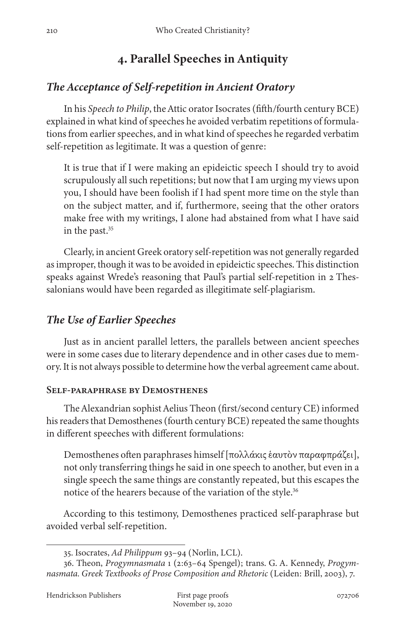# **4. Parallel Speeches in Antiquity**

# *The Acceptance of Self-repetition in Ancient Oratory*

In his *Speech to Philip*, the Attic orator Isocrates (fifth/fourth century BCE) explained in what kind of speeches he avoided verbatim repetitions of formulations from earlier speeches, and in what kind of speeches he regarded verbatim self-repetition as legitimate. It was a question of genre:

It is true that if I were making an epideictic speech I should try to avoid scrupulously all such repetitions; but now that I am urging my views upon you, I should have been foolish if I had spent more time on the style than on the subject matter, and if, furthermore, seeing that the other orators make free with my writings, I alone had abstained from what I have said in the past.<sup>35</sup>

Clearly, in ancient Greek oratory self-repetition was not generally regarded as improper, though it was to be avoided in epideictic speeches. This distinction speaks against Wrede's reasoning that Paul's partial self-repetition in 2 Thessalonians would have been regarded as illegitimate self-plagiarism.

## *The Use of Earlier Speeches*

Just as in ancient parallel letters, the parallels between ancient speeches were in some cases due to literary dependence and in other cases due to memory. It is not always possible to determine how the verbal agreement came about.

#### **Self-paraphrase by Demosthenes**

The Alexandrian sophist Aelius Theon (first/second century CE) informed his readers that Demosthenes (fourth century BCE) repeated the same thoughts in different speeches with different formulations:

Demosthenes often paraphrases himself [πολλάκις ἑαυτὸν παραφπράζει], not only transferring things he said in one speech to another, but even in a single speech the same things are constantly repeated, but this escapes the notice of the hearers because of the variation of the style.<sup>36</sup>

According to this testimony, Demosthenes practiced self-paraphrase but avoided verbal self-repetition.

<sup>35.</sup> Isocrates, *Ad Philippum* 93–94 (Norlin, LCL).

<sup>36.</sup> Theon, *Progymnasmata* 1 (2:63–64 Spengel); trans. G. A. Kennedy, *Progymnasmata. Greek Textbooks of Prose Composition and Rhetoric* (Leiden: Brill, 2003), 7.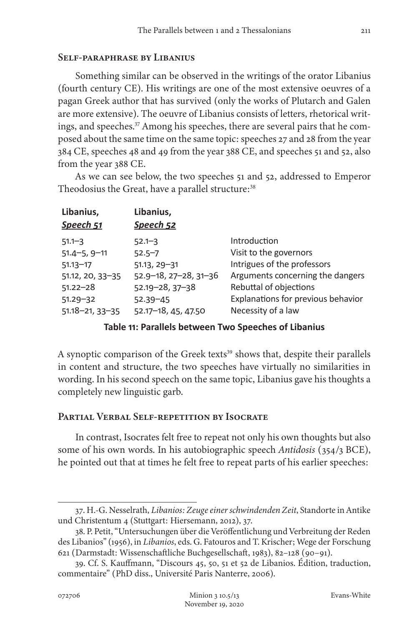#### **Self-paraphrase by Libanius**

Something similar can be observed in the writings of the orator Libanius (fourth century CE). His writings are one of the most extensive oeuvres of a pagan Greek author that has survived (only the works of Plutarch and Galen are more extensive). The oeuvre of Libanius consists of letters, rhetorical writings, and speeches.<sup>37</sup> Among his speeches, there are several pairs that he composed about the same time on the same topic: speeches 27 and 28 from the year 384 CE, speeches 48 and 49 from the year 388 CE, and speeches 51 and 52, also from the year 388 CE.

As we can see below, the two speeches 51 and 52, addressed to Emperor Theodosius the Great, have a parallel structure:<sup>38</sup>

| Libanius,<br>Speech 52              |                                    |
|-------------------------------------|------------------------------------|
| $52.1 - 3$                          | Introduction                       |
| $52.5 - 7$                          | Visit to the governors             |
| $51.13, 29 - 31$                    | Intrigues of the professors        |
| $52.9 - 18$ , $27 - 28$ , $31 - 36$ | Arguments concerning the dangers   |
| $52.19 - 28, 37 - 38$               | Rebuttal of objections             |
| $52.39 - 45$                        | Explanations for previous behavior |
| 52.17-18, 45, 47.50                 | Necessity of a law                 |
|                                     |                                    |

#### **Table 11: Parallels between Two Speeches of Libanius**

A synoptic comparison of the Greek texts<sup>39</sup> shows that, despite their parallels in content and structure, the two speeches have virtually no similarities in wording. In his second speech on the same topic, Libanius gave his thoughts a completely new linguistic garb.

#### **Partial Verbal Self-repetition by Isocrate**

In contrast, Isocrates felt free to repeat not only his own thoughts but also some of his own words. In his autobiographic speech *Antidosis* (354/3 BCE), he pointed out that at times he felt free to repeat parts of his earlier speeches:

<sup>37.</sup> H.-G. Nesselrath, *Libanios: Zeuge einer schwindenden Zeit*, Standorte in Antike und Christentum 4 (Stuttgart: Hiersemann, 2012), 37.

<sup>38.</sup> P. Petit, "Untersuchungen über die Veröffentlichung und Verbreitung der Reden des Libanios" (1956), in *Libanios*, eds. G. Fatouros and T. Krischer; Wege der Forschung 621 (Darmstadt: Wissenschaftliche Buchgesellschaft, 1983), 82–128 (90–91).

<sup>39.</sup> Cf. S. Kauffmann, "Discours 45, 50, 51 et 52 de Libanios. Édition, traduction, commentaire" (PhD diss., Université Paris Nanterre, 2006).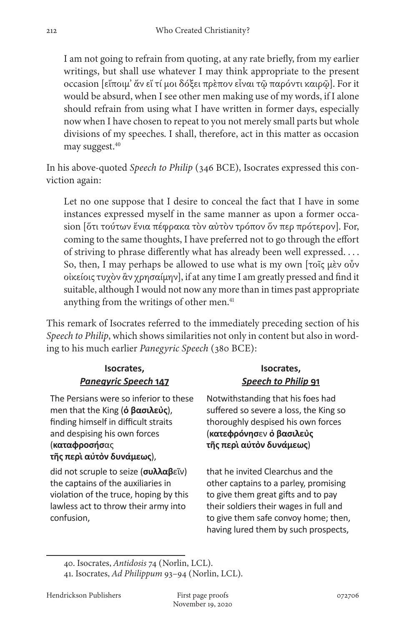I am not going to refrain from quoting, at any rate briefly, from my earlier writings, but shall use whatever I may think appropriate to the present occasion [εἴποιμ' ἄν εἴ τί μοι δόξει πρὲπον εἶναι τῷ παρόντι καιρῷ]. For it would be absurd, when I see other men making use of my words, if I alone should refrain from using what I have written in former days, especially now when I have chosen to repeat to you not merely small parts but whole divisions of my speeches. I shall, therefore, act in this matter as occasion may suggest.<sup>40</sup>

In his above-quoted *Speech to Philip* (346 BCE), Isocrates expressed this conviction again:

Let no one suppose that I desire to conceal the fact that I have in some instances expressed myself in the same manner as upon a former occasion [ὅτι τούτων ἔνια πέφρακα τὸν αὐτὸν τρόπον ὅν περ πρότερον]. For, coming to the same thoughts, I have preferred not to go through the effort of striving to phrase differently what has already been well expressed. . . . So, then, I may perhaps be allowed to use what is my own [τοῖς μὲν οὖν οἰκείοις τυχὸν ἂν χρησαίμην], if at any time I am greatly pressed and find it suitable, although I would not now any more than in times past appropriate anything from the writings of other men.<sup>41</sup>

This remark of Isocrates referred to the immediately preceding section of his *Speech to Philip*, which shows similarities not only in content but also in wording to his much earlier *Panegyric Speech* (380 BCE):

#### **Isocrates,** *Panegyric Speech* **147**

The Persians were so inferior to these men that the King (**ὁ βασιλεὺς**), finding himself in difficult straits and despising his own forces (**καταφροσήσ**ας **τῆς περὶ αὑτὸν δυνάμεως**),

did not scruple to seize (**συλλαβ**εῖν) the captains of the auxiliaries in violation of the truce, hoping by this lawless act to throw their army into confusion,

#### **Isocrates,** *Speech to Philip* **91**

Notwithstanding that his foes had suffered so severe a loss, the King so thoroughly despised his own forces (**κατεφρόνησ**εν **ὁ βασιλεὺς τῆς περὶ αὑτὸν δυνάμεως**)

that he invited Clearchus and the other captains to a parley, promising to give them great gifts and to pay their soldiers their wages in full and to give them safe convoy home; then, having lured them by such prospects,

<sup>40.</sup> Isocrates, *Antidosis* 74 (Norlin, LCL).

<sup>41.</sup> Isocrates, *Ad Philippum* 93–94 (Norlin, LCL).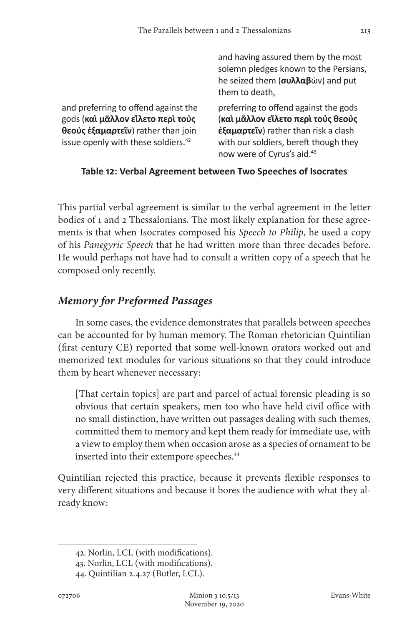|                                                                                                                                                                    | and having assured them by the most<br>solemn pledges known to the Persians,<br>he seized them $(\sigma \nu \lambda \lambda \alpha \beta \omega \nu)$ and put<br>them to death,                        |
|--------------------------------------------------------------------------------------------------------------------------------------------------------------------|--------------------------------------------------------------------------------------------------------------------------------------------------------------------------------------------------------|
| and preferring to offend against the<br>gods (και μάλλον είλετο περι τους<br>θεούς έξαμαρτεῖν) rather than join<br>issue openly with these soldiers. <sup>42</sup> | preferring to offend against the gods<br>(και μᾶλλον εἵλετο περι τους θεους<br>έξαμαρτεῖν) rather than risk a clash<br>with our soldiers, bereft though they<br>now were of Cyrus's aid. <sup>43</sup> |

#### **Table 12: Verbal Agreement between Two Speeches of Isocrates**

This partial verbal agreement is similar to the verbal agreement in the letter bodies of 1 and 2 Thessalonians. The most likely explanation for these agreements is that when Isocrates composed his *Speech to Philip*, he used a copy of his *Panegyric Speech* that he had written more than three decades before. He would perhaps not have had to consult a written copy of a speech that he composed only recently.

# *Memory for Preformed Passages*

In some cases, the evidence demonstrates that parallels between speeches can be accounted for by human memory. The Roman rhetorician Quintilian (first century CE) reported that some well-known orators worked out and memorized text modules for various situations so that they could introduce them by heart whenever necessary:

[That certain topics] are part and parcel of actual forensic pleading is so obvious that certain speakers, men too who have held civil office with no small distinction, have written out passages dealing with such themes, committed them to memory and kept them ready for immediate use, with a view to employ them when occasion arose as a species of ornament to be inserted into their extempore speeches.<sup>44</sup>

Quintilian rejected this practice, because it prevents flexible responses to very different situations and because it bores the audience with what they already know:

<sup>42.</sup> Norlin, LCL (with modifications).

<sup>43.</sup> Norlin, LCL (with modifications).

<sup>44.</sup> Quintilian 2.4.27 (Butler, LCL).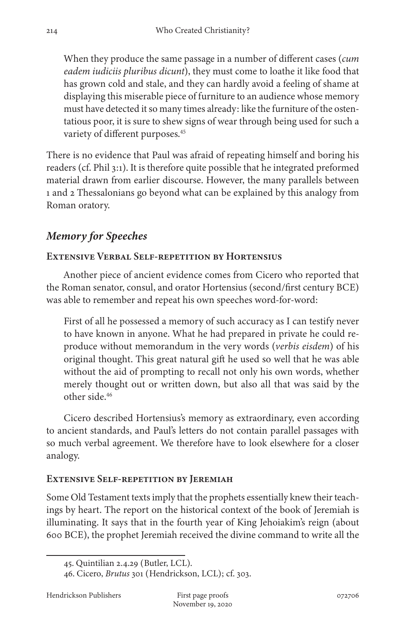When they produce the same passage in a number of different cases (*cum eadem iudiciis pluribus dicunt*), they must come to loathe it like food that has grown cold and stale, and they can hardly avoid a feeling of shame at displaying this miserable piece of furniture to an audience whose memory must have detected it so many times already: like the furniture of the ostentatious poor, it is sure to shew signs of wear through being used for such a variety of different purposes.<sup>45</sup>

There is no evidence that Paul was afraid of repeating himself and boring his readers (cf. Phil 3:1). It is therefore quite possible that he integrated preformed material drawn from earlier discourse. However, the many parallels between 1 and 2 Thessalonians go beyond what can be explained by this analogy from Roman oratory.

# *Memory for Speeches*

#### **Extensive Verbal Self-repetition by Hortensius**

Another piece of ancient evidence comes from Cicero who reported that the Roman senator, consul, and orator Hortensius (second/first century BCE) was able to remember and repeat his own speeches word-for-word:

First of all he possessed a memory of such accuracy as I can testify never to have known in anyone. What he had prepared in private he could reproduce without memorandum in the very words (*verbis eisdem*) of his original thought. This great natural gift he used so well that he was able without the aid of prompting to recall not only his own words, whether merely thought out or written down, but also all that was said by the other side.46

Cicero described Hortensius's memory as extraordinary, even according to ancient standards, and Paul's letters do not contain parallel passages with so much verbal agreement. We therefore have to look elsewhere for a closer analogy.

#### **Extensive Self-repetition by Jeremiah**

Some Old Testament texts imply that the prophets essentially knew their teachings by heart. The report on the historical context of the book of Jeremiah is illuminating. It says that in the fourth year of King Jehoiakim's reign (about 600 BCE), the prophet Jeremiah received the divine command to write all the

<sup>45.</sup> Quintilian 2.4.29 (Butler, LCL).

<sup>46.</sup> Cicero, *Brutus* 301 (Hendrickson, LCL); cf. 303.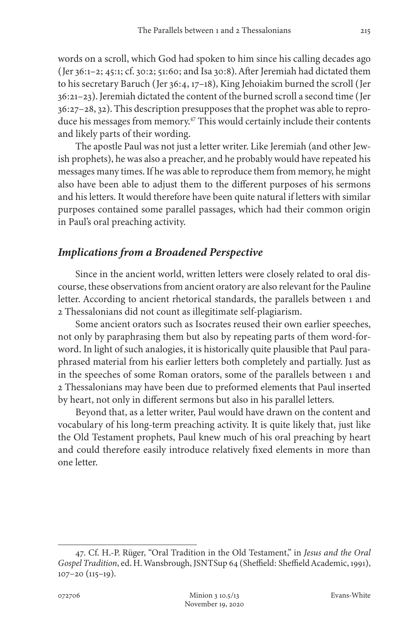words on a scroll, which God had spoken to him since his calling decades ago (Jer 36:1–2; 45:1; cf. 30:2; 51:60; and Isa 30:8). After Jeremiah had dictated them to his secretary Baruch (Jer 36:4, 17–18), King Jehoiakim burned the scroll (Jer 36:21–23). Jeremiah dictated the content of the burned scroll a second time (Jer 36:27–28, 32). This description presupposes that the prophet was able to reproduce his messages from memory.<sup>47</sup> This would certainly include their contents and likely parts of their wording.

The apostle Paul was not just a letter writer. Like Jeremiah (and other Jewish prophets), he was also a preacher, and he probably would have repeated his messages many times. If he was able to reproduce them from memory, he might also have been able to adjust them to the different purposes of his sermons and his letters. It would therefore have been quite natural if letters with similar purposes contained some parallel passages, which had their common origin in Paul's oral preaching activity.

#### *Implications from a Broadened Perspective*

Since in the ancient world, written letters were closely related to oral discourse, these observations from ancient oratory are also relevant for the Pauline letter. According to ancient rhetorical standards, the parallels between 1 and 2 Thessalonians did not count as illegitimate self-plagiarism.

Some ancient orators such as Isocrates reused their own earlier speeches, not only by paraphrasing them but also by repeating parts of them word-forword. In light of such analogies, it is historically quite plausible that Paul paraphrased material from his earlier letters both completely and partially. Just as in the speeches of some Roman orators, some of the parallels between 1 and 2 Thessalonians may have been due to preformed elements that Paul inserted by heart, not only in different sermons but also in his parallel letters.

Beyond that, as a letter writer, Paul would have drawn on the content and vocabulary of his long-term preaching activity. It is quite likely that, just like the Old Testament prophets, Paul knew much of his oral preaching by heart and could therefore easily introduce relatively fixed elements in more than one letter.

<sup>47.</sup> Cf. H.-P. Rüger, "Oral Tradition in the Old Testament," in *Jesus and the Oral Gospel Tradition*, ed. H. Wansbrough, JSNTSup 64 (Sheffield: Sheffield Academic, 1991), 107–20 (115–19).